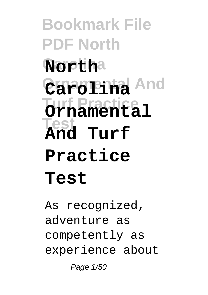**Bookmark File PDF North Carolina North Ornamental And Carolina Turf Practice Ornamental Test And Turf Practice Test**

As recognized, adventure as competently as experience about Page 1/50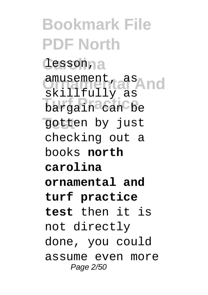**Bookmark File PDF North Carolina** lesson, amusement, as<br>alignal and bargain<sup>3</sup> can be **Test** gotten by just skillfully as checking out a books **north carolina ornamental and turf practice test** then it is not directly done, you could assume even more Page 2/50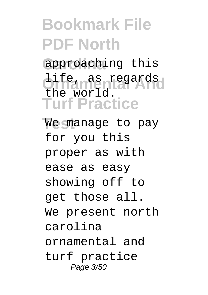**Bookmark File PDF North** approaching this **Ornamental And** life, as regards **Turf Practice** We manage to pay the world. for you this proper as with ease as easy showing off to get those all. We present north carolina ornamental and turf practice Page 3/50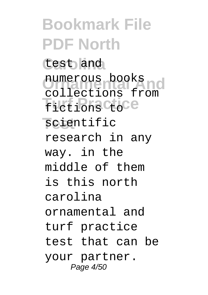**Bookmark File PDF North Carolina** test and numerous books fictions ctoce **scientific** numerous books research in any way. in the middle of them is this north carolina ornamental and turf practice test that can be your partner. Page 4/50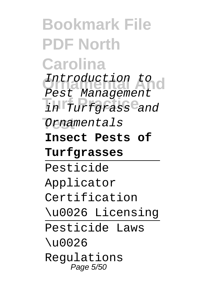**Bookmark File PDF North Carolina** Introduction to **Turf Practice** in Turfgrass and **Test** Ornamentals Pest Management **Insect Pests of Turfgrasses** Pesticide Applicator Certification \u0026 Licensing Pesticide Laws \u0026 Regulations Page 5/50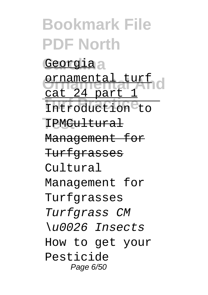**Bookmark File PDF North** Georgiaa **Ornamental And** ornamental turf Introduction to IPM<del>Cultural</del> cat 24 part 1 Management for **Turfgrasses** Cultural Management for Turfgrasses Turfgrass CM \u0026 Insects How to get your Pesticide Page 6/50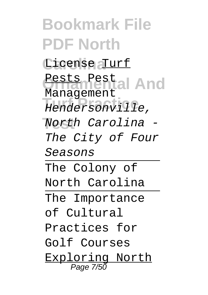**Bookmark File PDF North** License <u>Turf</u> Pests Pest<br>Vindomental And **Turf Practice** Hendersonville, **Test** North Carolina - Management The City of Four Seasons The Colony of North Carolina The Importance of Cultural Practices for Golf Courses Exploring North **Page 7/50**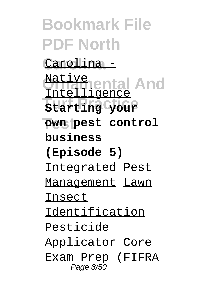**Bookmark File PDF North Carolina** Carolina - **Mative**<br>Unidiaental And **Turf Practice Starting your**  $\overline{\text{own}}$  pest control Intelligence **business (Episode 5)** Integrated Pest Management Lawn Insect Identification Pesticide Applicator Core Exam Prep (FIFRA Page 8/50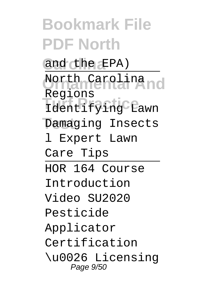**Bookmark File PDF North** and the EPA) North Carolina<br>Priidinental And nceers ...<br>Identifying Lawn Damaging Insects Regions l Expert Lawn Care Tips HOR 164 Course Introduction Video SU2020 Pesticide Applicator Certification \u0026 Licensing Page 9/50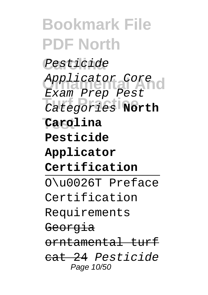**Bookmark File PDF North** Pesticide Applicator Core **Turf Practice** Categories **North Test Carolina** Exam Prep Pest **Pesticide Applicator Certification** O\u0026T Preface Certification Requirements Georgia orntamental turf cat 24 Pesticide Page 10/50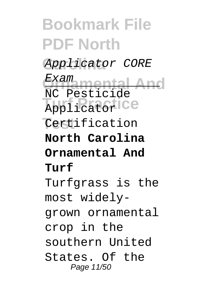### **Bookmark File PDF North Carolina** Applicator CORE **Ornamental And Turns**<br> **Applicator Test** Certification Exam NC Pesticide **North Carolina Ornamental And Turf** Turfgrass is the most widelygrown ornamental crop in the southern United States. Of the Page 11/50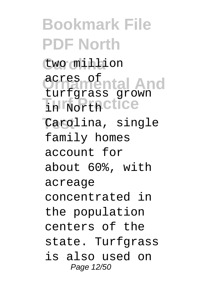**Bookmark File PDF North Carolina** two million **Ornamental And** acres of **In Northctice Test** Carolina, single turfgrass grown family homes account for about 60%, with acreage concentrated in the population centers of the state. Turfgrass is also used on Page 12/50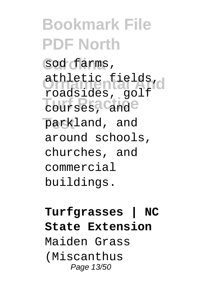**Bookmark File PDF North** sod farms, athletic fields, **Turf Practice Test** parkland, and roadsides, golf around schools, churches, and commercial buildings.

#### **Turfgrasses | NC State Extension** Maiden Grass (Miscanthus Page 13/50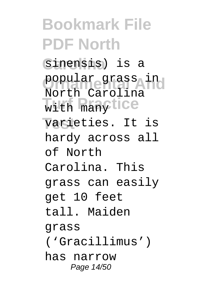## **Bookmark File PDF North** Sinensis) is a popular grass in with manytice  $varieties.$  It is North Carolina hardy across all of North Carolina. This grass can easily get 10 feet tall. Maiden grass ('Gracillimus') has narrow Page 14/50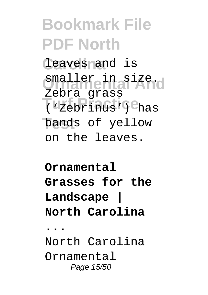## **Bookmark File PDF North** leaves and is smaller in size. **Turf Practice** ('Zebrinus') has bands of yellow Zebra grass on the leaves.

### **Ornamental Grasses for the Landscape | North Carolina ...** North Carolina Ornamental

Page 15/50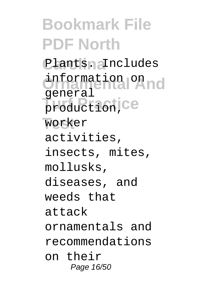**Bookmark File PDF North** Plants. Includes information on<br> **Expansion And** production, ce **Test** worker general activities, insects, mites, mollusks, diseases, and weeds that attack ornamentals and recommendations on their Page 16/50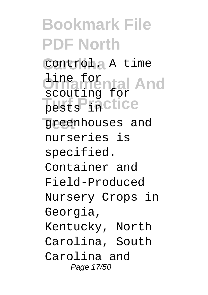**Bookmark File PDF North Carolina** control. A time *<u>Dinamental</u>* And pests liactice **Test** greenhouses and scouting for nurseries is specified. Container and Field-Produced Nursery Crops in Georgia, Kentucky, North Carolina, South Carolina and Page 17/50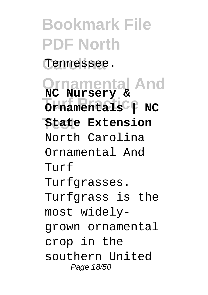**Bookmark File PDF North** Tennessee.

**Ornamental And Turns Property Test State Extension NC Nursery &** North Carolina Ornamental And Turf Turfgrasses. Turfgrass is the most widelygrown ornamental crop in the southern United Page 18/50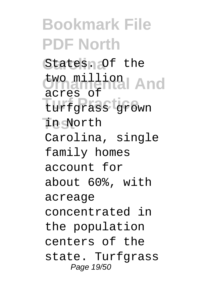**Bookmark File PDF North** States. Of the two million<br> **And And Turf Practice** turfgrass grown  $\overline{\text{in}}$  North acres of Carolina, single family homes account for about 60%, with acreage concentrated in the population centers of the state. Turfqrass Page 19/50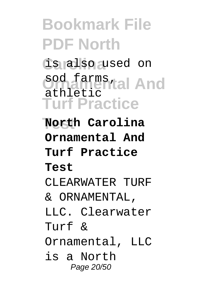**Bookmark File PDF North Carolina** is also used on sod farms<br>
athletial And **Turf Practice Test North Carolina** athletic **Ornamental And Turf Practice Test** CLEARWATER TURF & ORNAMENTAL, LLC. Clearwater Turf & Ornamental, LLC is a North Page 20/50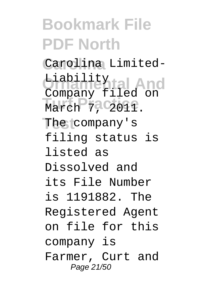## **Bookmark File PDF North Carolina** Carolina Limited-**Ornamental And** Liability March 7, 2011. The company's Company filed on filing status is listed as Dissolved and its File Number is 1191882. The Registered Agent on file for this company is Farmer, Curt and Page 21/50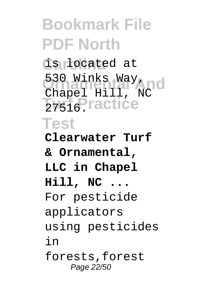**Bookmark File PDF North Carolina** is located at **Ornamental And** Chapel Hill, NC 2<sub>7516</sub>Practice **Test** 530 Winks Way, **Clearwater Turf & Ornamental, LLC in Chapel Hill, NC ...** For pesticide applicators using pesticides in forests,forest Page 22/50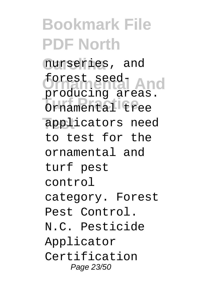**Bookmark File PDF North Carolina** nurseries, and forest seed-<br> **And Turf Practice** Ornamental tree **Test** applicators need producing areas. to test for the ornamental and turf pest control category. Forest Pest Control. N.C. Pesticide Applicator Certification Page 23/50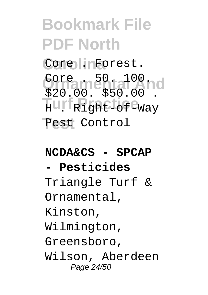**Bookmark File PDF North** Core linForest. Core . 50. 5100 nd Huri Right-of<sup>e</sup>Way **Test** Pest Control \$20.00. \$50.00 .

#### **NCDA&CS - SPCAP**

#### **- Pesticides**

Triangle Turf & Ornamental, Kinston, Wilmington, Greensboro, Wilson, Aberdeen Page 24/50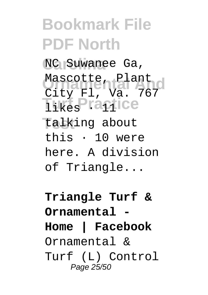**Bookmark File PDF North** NC Suwanee Ga, Mascotte, Plant<br>City Rick 767 **Turf Practice Test** talking about City Fl, Va. 767 this · 10 were here. A division of Triangle...

**Triangle Turf & Ornamental - Home | Facebook** Ornamental & Turf (L) Control Page 25/50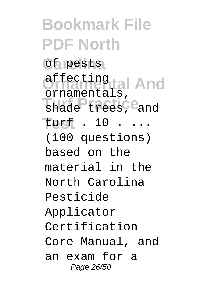**Bookmark File PDF North Carolina** of pests **Ornamental And** affecting shade trees, <sup>e</sup>and **Test** turf . 10 . ... ornamentals, (100 questions) based on the material in the North Carolina Pesticide Applicator Certification Core Manual, and an exam for a Page 26/50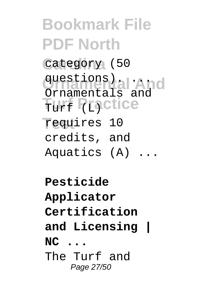**Bookmark File PDF North** category (50 questions).<br>Ornamental And Turf **Practice Test** requires 10 Ornamentals and credits, and Aquatics (A) ...

**Pesticide Applicator Certification and Licensing | NC ...** The Turf and Page 27/50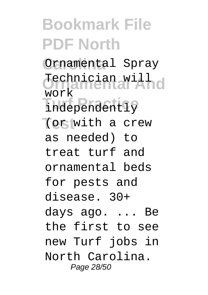**Bookmark File PDF North** Ornamental Spray **Ornamental And** Technician will nter<br>independently **Test** (or with a crew work as needed) to treat turf and ornamental beds for pests and disease. 30+ days ago. ... Be the first to see new Turf jobs in North Carolina. Page 28/50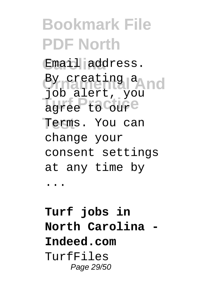**Bookmark File PDF North** Email address. By creating a<br>Pinal and **And** agree to Coure Terms. You can job alert, you change your consent settings at any time by ...

#### **Turf jobs in North Carolina - Indeed.com** TurfFiles Page 29/50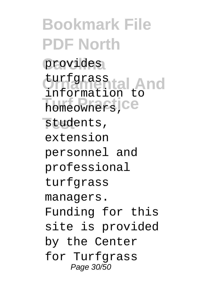**Bookmark File PDF North** provides turfgrass tal And **Turf Practice** students, information to extension personnel and professional turfgrass managers. Funding for this site is provided by the Center for Turfgrass Page 30/50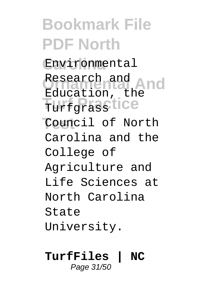**Bookmark File PDF North Carolina** Environmental Research and<br>Research and **And** Turfgrasstice **Test** Council of North Education, the Carolina and the College of Agriculture and Life Sciences at North Carolina State University.

#### **TurfFiles | NC** Page 31/50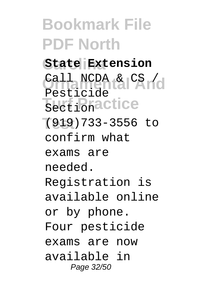**Bookmark File PDF North Carolina State Extension** Call NCDA & CS / **Turf Practice Test** (919)733-3556 to Pesticide confirm what exams are needed. Registration is available online or by phone. Four pesticide exams are now available in Page 32/50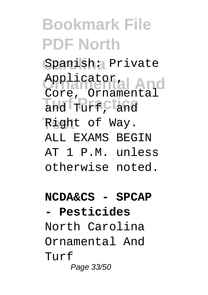## **Bookmark File PDF North** Spanish: Private Applicator<sub>ial</sub> And and TurfCtand Right of Way. Applicator, ALL EXAMS BEGIN AT 1 P.M. unless otherwise noted.

#### **NCDA&CS - SPCAP - Pesticides**

North Carolina Ornamental And Turf Page 33/50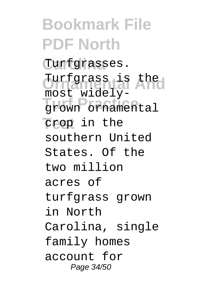**Bookmark File PDF North Carolina** Turfgrasses. Turfgrass is the **Turf Practice** grown ornamental crop in the most widelysouthern United States. Of the two million acres of turfgrass grown in North Carolina, single family homes account for Page 34/50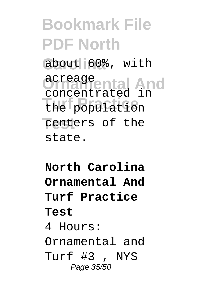## **Bookmark File PDF North** about 60%, with **Ornamental And** acreage **Turf Practice** the population centers of the concentrated in state.

### **North Carolina Ornamental And Turf Practice Test** 4 Hours: Ornamental and Turf #3 , NYS Page 35/50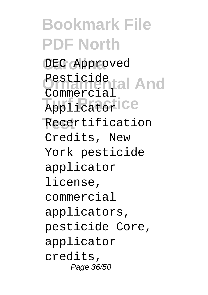**Bookmark File PDF North** DEC Approved Pesticide tal And **Turf Practice Test** Recertification Commercial Credits, New York pesticide applicator license, commercial applicators, pesticide Core, applicator credits, Page 36/50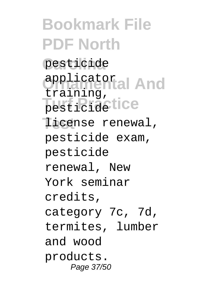**Bookmark File PDF North** pesticide **Ornamental And** applicator pesticidetice license renewal, training, pesticide exam, pesticide renewal, New York seminar credits, category 7c, 7d, termites, lumber and wood products. Page 37/50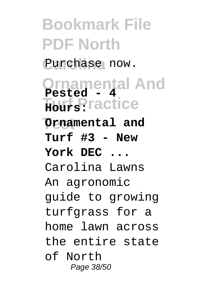**Bookmark File PDF North** Purchase now. **Ornamental And Turf Practice Hours: Test Ornamental and Pested - 4 Turf #3 - New York DEC ...** Carolina Lawns An agronomic guide to growing turfgrass for a home lawn across the entire state of North Page 38/50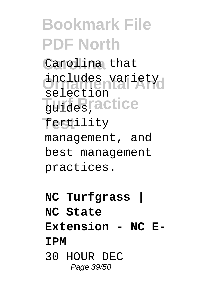**Bookmark File PDF North Carolina** Carolina that includes variety **Turf Practice** guides, **Test** fertility selection management, and best management practices.

- **NC Turfgrass |**
- **NC State**

**Extension - NC E-**

#### **IPM**

30 HOUR DEC Page 39/50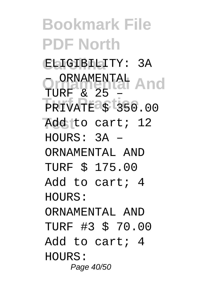**Bookmark File PDF North Carolina** ELIGIBILITY: 3A **Ornamental And** – ORNAMENTAL **PRIVATE \$ 350.00 Test** Add to cart; 12 TURF & 25  $HOUIRS: 3A -$ ORNAMENTAL AND TURF \$ 175.00 Add to cart; 4 HOURS: ORNAMENTAL AND TURF #3 \$ 70.00 Add to cart; 4 HOURS: Page 40/50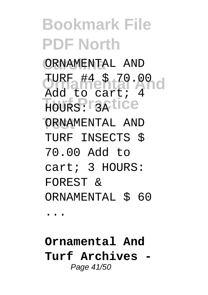## **Bookmark File PDF North Carolina** ORNAMENTAL AND TURF #4 \$ 70.00 d HOURS: T3Atice ORNAMENTAL AND Add to cart; 4 TURF INSECTS \$ 70.00 Add to cart; 3 HOURS: FOREST &

ORNAMENTAL \$ 60

...

**Ornamental And Turf Archives -** Page 41/50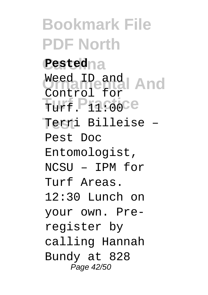**Bookmark File PDF North Carolina Pested** Weed ID and<br>Contract of the And Turf. P11:00Ce **Test** Terri Billeise – Control for Pest Doc Entomologist, NCSU – IPM for Turf Areas. 12:30 Lunch on your own. Preregister by calling Hannah Bundy at 828 Page 42/50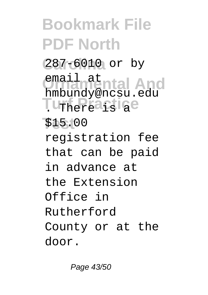**Bookmark File PDF North Carolina** 287-6010 or by email at<br>**Emburguental** And **Turf Practice Test** \$15.00 hmbundy@ncsu.edu registration fee that can be paid in advance at the Extension Office in Rutherford County or at the door.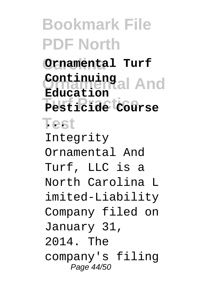**Bookmark File PDF North Carolina Ornamental Turf Ornamental And Continuing Turf Practice Pesticide Course Test ... Education** Integrity Ornamental And Turf, LLC is a North Carolina L imited-Liability Company filed on January 31, 2014. The company's filing Page 44/50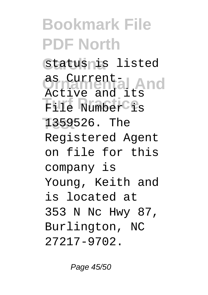## **Bookmark File PDF North** Status<sub>lis listed</sub> **Ornamental And** as Current-File Number is **Test** 1359526. The Active and its Registered Agent on file for this company is Young, Keith and is located at 353 N Nc Hwy 87, Burlington, NC 27217-9702.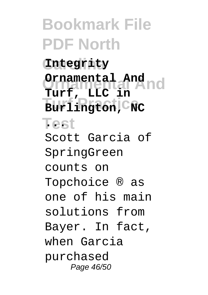**Bookmark File PDF North Carolina Integrity Ornamental And Ornamental And** Burlington, C<sub>NC</sub> **Test ... Turf, LLC in** Scott Garcia of SpringGreen counts on Topchoice ® as one of his main solutions from Bayer. In fact, when Garcia purchased Page 46/50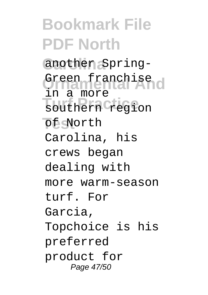**Bookmark File PDF North Carolina** another Spring-Green franchise<br>Urbannental And southern **Tregion Test** of North in a more Carolina, his crews began dealing with more warm-season turf. For Garcia, Topchoice is his preferred product for Page 47/50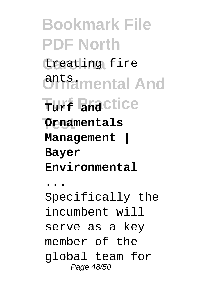**Bookmark File PDF North** treating fire **Ornamental And** ants. **Turf Practice Turf and Ornamentals Management | Bayer Environmental ...** Specifically the incumbent will serve as a key member of the global team for Page 48/50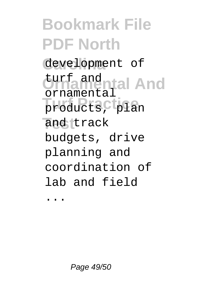**Bookmark File PDF North Carolina** development of turf and <sub>ntal</sub> And products, plan and track ornamental budgets, drive planning and coordination of lab and field

...